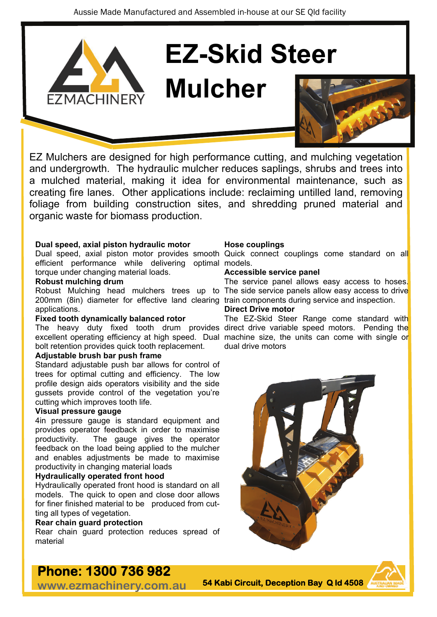

# **EZ-Skid Steer**

## **Mulcher**



EZ Mulchers are designed for high performance cutting, and mulching vegetation and undergrowth. The hydraulic mulcher reduces saplings, shrubs and trees into a mulched material, making it idea for environmental maintenance, such as creating fire lanes. Other applications include: reclaiming untilled land, removing foliage from building construction sites, and shredding pruned material and organic waste for biomass production.

#### **Dual speed, axial piston hydraulic motor**

efficient performance while delivering optimal models. torque under changing material loads.

#### **Robust mulching drum**

200mm (8in) diameter for effective land clearing train components during service and inspection. applications.

#### **Fixed tooth dynamically balanced rotor**

bolt retention provides quick tooth replacement.

#### **Adjustable brush bar push frame**

Standard adjustable push bar allows for control of trees for optimal cutting and efficiency. The low profile design aids operators visibility and the side gussets provide control of the vegetation you're cutting which improves tooth life.

#### **Visual pressure gauge**

4in pressure gauge is standard equipment and provides operator feedback in order to maximise productivity. The gauge gives the operator feedback on the load being applied to the mulcher and enables adjustments be made to maximise productivity in changing material loads

#### **Hydraulically operated front hood**

Hydraulically operated front hood is standard on all models. The quick to open and close door allows for finer finished material to be produced from cutting all types of vegetation.

#### **Rear chain guard protection**

Rear chain guard protection reduces spread of material

#### **Hose couplings**

Dual speed, axial piston motor provides smooth Quick connect couplings come standard on all

#### **Accessible service panel**

Robust Mulching head mulchers trees up to The side service panels allow easy access to drive The service panel allows easy access to hoses.

#### **Direct Drive motor**

The heavy duty fixed tooth drum provides direct-drive-variable-speed-motors. Pending-the excellent operating efficiency at high speed. Dual machine size, the units can come with single or The EZ-Skid Steer Range come standard with dual drive motors



### **Phone: 1300 736 982**

**www.ezmachinery.com.au** 

**54 Kabi Circuit, Deception Bay Q ld 4508**